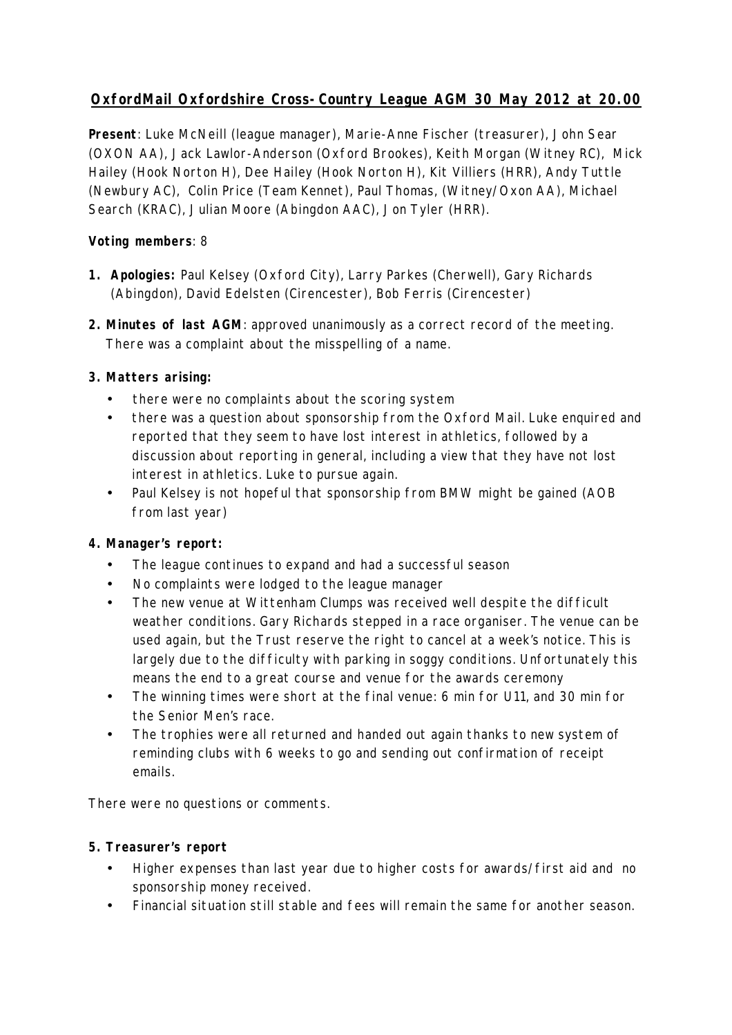# **OxfordMail Oxfordshire Cross-Country League AGM 30 May 2012 at 20.00**

**Present**: Luke McNeill (league manager), Marie-Anne Fischer (treasurer), John Sear (OXON AA), Jack Lawlor-Anderson (Oxford Brookes), Keith Morgan (Witney RC), Mick Hailey (Hook Norton H), Dee Hailey (Hook Norton H), Kit Villiers (HRR), Andy Tuttle (Newbury AC), Colin Price (Team Kennet), Paul Thomas, (Witney/Oxon AA), Michael Search (KRAC), Julian Moore (Abingdon AAC), Jon Tyler (HRR).

# **Voting members**: 8

- **1. Apologies:** Paul Kelsey (Oxford City), Larry Parkes (Cherwell), Gary Richards (Abingdon), David Edelsten (Cirencester), Bob Ferris (Cirencester)
- **2. Minutes of last AGM**: approved unanimously as a correct record of the meeting. There was a complaint about the misspelling of a name.

# **3. Matters arising:**

- there were no complaints about the scoring system
- there was a question about sponsorship from the Oxford Mail. Luke enquired and reported that they seem to have lost interest in athletics, followed by a discussion about reporting in general, including a view that they have not lost interest in athletics. Luke to pursue again.
- Paul Kelsey is not hopeful that sponsorship from BMW might be gained (AOB from last year)

#### **4. Manager's report:**

- The league continues to expand and had a successful season
- No complaints were lodged to the league manager
- The new venue at Wittenham Clumps was received well despite the difficult weather conditions. Gary Richards stepped in a race organiser. The venue can be used again, but the Trust reserve the right to cancel at a week's notice. This is largely due to the difficulty with parking in soggy conditions. Unfortunately this means the end to a great course and venue for the awards ceremony
- The winning times were short at the final venue: 6 min for U11, and 30 min for the Senior Men's race.
- The trophies were all returned and handed out again thanks to new system of reminding clubs with 6 weeks to go and sending out confirmation of receipt emails.

There were no questions or comments.

#### **5. Treasurer's report**

- Higher expenses than last year due to higher costs for awards/first aid and no sponsorship money received.
- Financial situation still stable and fees will remain the same for another season.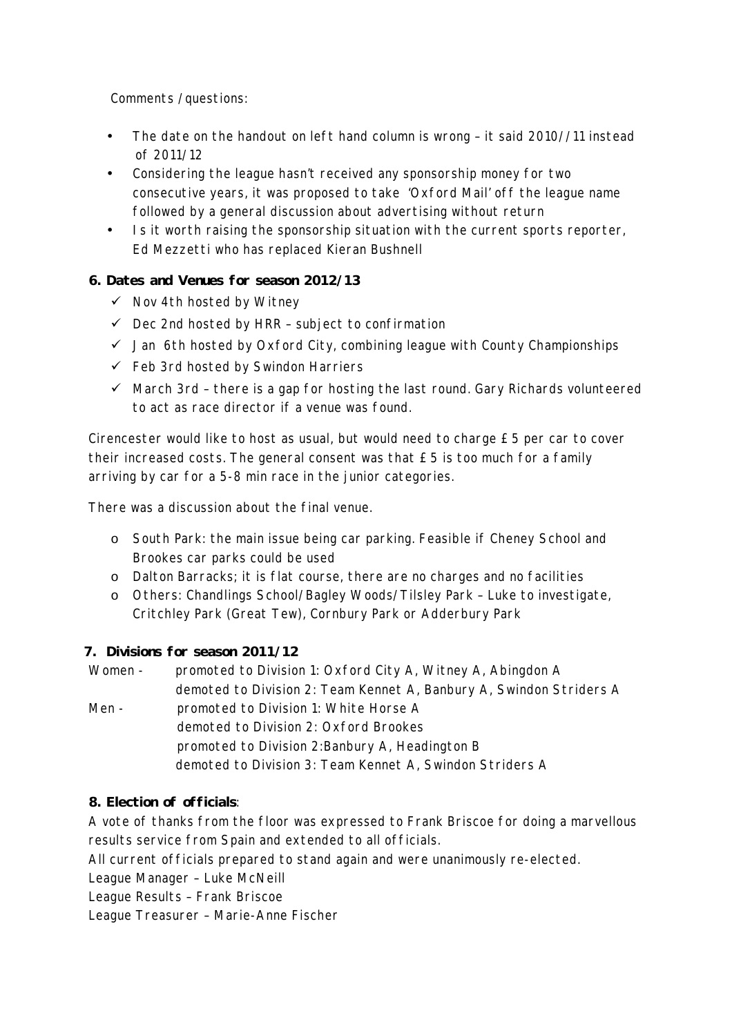Comments /questions:

- The date on the handout on left hand column is wrong it said 2010//11 instead of 2011/12
- Considering the league hasn't received any sponsorship money for two consecutive years, it was proposed to take 'Oxford Mail' off the league name followed by a general discussion about advertising without return
- Is it worth raising the sponsorship situation with the current sports reporter, Ed Mezzetti who has replaced Kieran Bushnell

# **6. Dates and Venues for season 2012/13**

- $\checkmark$  Nov 4th hosted by Witney
- $\checkmark$  Dec 2nd hosted by HRR subject to confirmation
- $\checkmark$  Jan 6th hosted by Oxford City, combining league with County Championships
- $\checkmark$  Feb 3rd hosted by Swindon Harriers
- $\checkmark$  March 3rd there is a gap for hosting the last round. Gary Richards volunteered to act as race director if a venue was found.

Cirencester would like to host as usual, but would need to charge £5 per car to cover their increased costs. The general consent was that £5 is too much for a family arriving by car for a 5-8 min race in the junior categories.

There was a discussion about the final venue.

- o South Park: the main issue being car parking. Feasible if Cheney School and Brookes car parks could be used
- o Dalton Barracks; it is flat course, there are no charges and no facilities
- o Others: Chandlings School/Bagley Woods/Tilsley Park Luke to investigate, Critchley Park (Great Tew), Cornbury Park or Adderbury Park

#### **7. Divisions for season 2011/12**

Women - promoted to Division 1: Oxford City A, Witney A, Abingdon A demoted to Division 2: Team Kennet A, Banbury A, Swindon Striders A Men - promoted to Division 1: White Horse A demoted to Division 2: Oxford Brookes promoted to Division 2:Banbury A, Headington B demoted to Division 3: Team Kennet A, Swindon Striders A

#### **8. Election of officials**:

A vote of thanks from the floor was expressed to Frank Briscoe for doing a marvellous results service from Spain and extended to all officials.

All current officials prepared to stand again and were unanimously re-elected.

League Manager – Luke McNeill

League Results – Frank Briscoe

League Treasurer – Marie-Anne Fischer